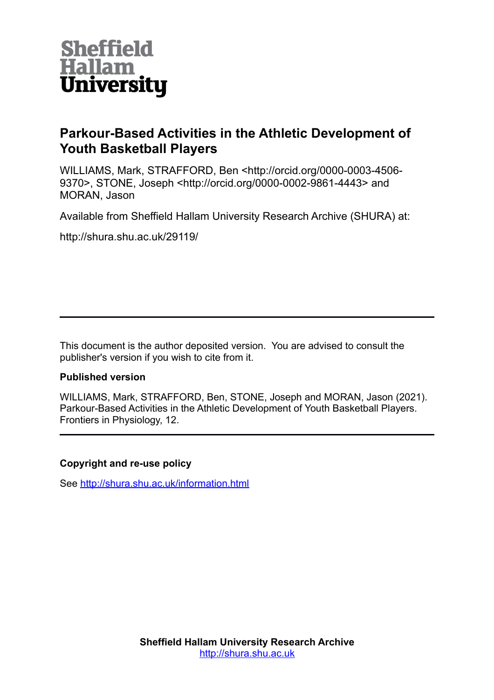

## **Parkour-Based Activities in the Athletic Development of Youth Basketball Players**

WILLIAMS, Mark, STRAFFORD, Ben <http://orcid.org/0000-0003-4506- 9370>, STONE, Joseph <http://orcid.org/0000-0002-9861-4443> and MORAN, Jason

Available from Sheffield Hallam University Research Archive (SHURA) at:

http://shura.shu.ac.uk/29119/

This document is the author deposited version. You are advised to consult the publisher's version if you wish to cite from it.

### **Published version**

WILLIAMS, Mark, STRAFFORD, Ben, STONE, Joseph and MORAN, Jason (2021). Parkour-Based Activities in the Athletic Development of Youth Basketball Players. Frontiers in Physiology, 12.

#### **Copyright and re-use policy**

See<http://shura.shu.ac.uk/information.html>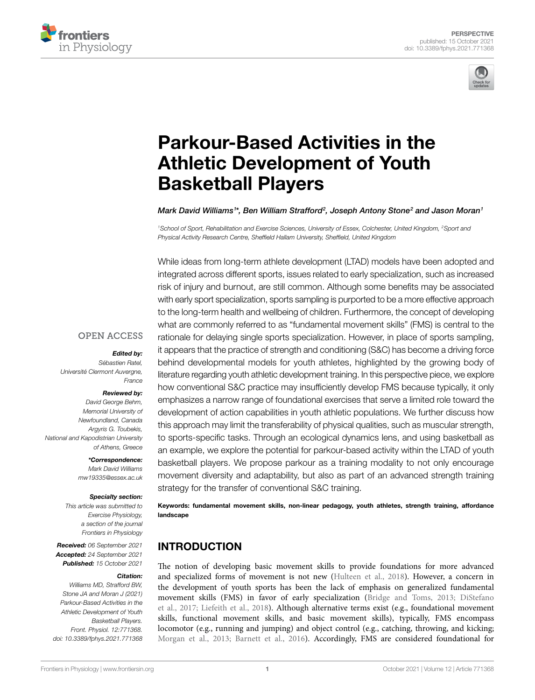



# [Parkour-Based Activities in the](https://www.frontiersin.org/articles/10.3389/fphys.2021.771368/full)  [Athletic Development of Youth](https://www.frontiersin.org/articles/10.3389/fphys.2021.771368/full)  [Basketball Players](https://www.frontiersin.org/articles/10.3389/fphys.2021.771368/full)

*Mark David Williams1 \*, Ben William Strafford2 , Joseph Antony Stone2 and Jason Moran1*

<sup>1</sup>School of Sport, Rehabilitation and Exercise Sciences, University of Essex, Colchester, United Kingdom, <sup>2</sup>Sport and *Physical Activity Research Centre, Sheffield Hallam University, Sheffield, United Kingdom*

While ideas from long-term athlete development (LTAD) models have been adopted and integrated across different sports, issues related to early specialization, such as increased risk of injury and burnout, are still common. Although some benefits may be associated with early sport specialization, sports sampling is purported to be a more effective approach to the long-term health and wellbeing of children. Furthermore, the concept of developing what are commonly referred to as "fundamental movement skills" (FMS) is central to the rationale for delaying single sports specialization. However, in place of sports sampling, it appears that the practice of strength and conditioning (S&C) has become a driving force behind developmental models for youth athletes, highlighted by the growing body of literature regarding youth athletic development training. In this perspective piece, we explore how conventional S&C practice may insufficiently develop FMS because typically, it only emphasizes a narrow range of foundational exercises that serve a limited role toward the development of action capabilities in youth athletic populations. We further discuss how this approach may limit the transferability of physical qualities, such as muscular strength, to sports-specific tasks. Through an ecological dynamics lens, and using basketball as an example, we explore the potential for parkour-based activity within the LTAD of youth basketball players. We propose parkour as a training modality to not only encourage movement diversity and adaptability, but also as part of an advanced strength training strategy for the transfer of conventional S&C training.

Keywords: fundamental movement skills, non-linear pedagogy, youth athletes, strength training, affordance landscape

#### INTRODUCTION

The notion of developing basic movement skills to provide foundations for more advanced and specialized forms of movement is not new ([Hulteen et al., 2018](#page-6-0)). However, a concern in the development of youth sports has been the lack of emphasis on generalized fundamental movement skills (FMS) in favor of early specialization [\(Bridge and Toms, 2013;](#page-5-0) [DiStefano](#page-6-1)  [et al., 2017](#page-6-1); [Liefeith et al., 2018\)](#page-6-2). Although alternative terms exist (e.g., foundational movement skills, functional movement skills, and basic movement skills), typically, FMS encompass locomotor (e.g., running and jumping) and object control (e.g., catching, throwing, and kicking; [Morgan et al., 2013](#page-6-3); [Barnett et al., 2016](#page-5-1)). Accordingly, FMS are considered foundational for

#### **OPEN ACCESS**

#### *Edited by:*

*Sébastien Ratel, Université Clermont Auvergne, France*

#### *Reviewed by:*

*David George Behm, Memorial University of Newfoundland, Canada Argyris G. Toubekis, National and Kapodistrian University of Athens, Greece*

> *\*Correspondence: Mark David Williams [mw19335@essex.ac.uk](mailto:mw19335@essex.ac.uk)*

#### *Specialty section:*

*This article was submitted to Exercise Physiology, a section of the journal Frontiers in Physiology*

*Received: 06 September 2021 Accepted: 24 September 2021 Published: 15 October 2021*

#### *Citation:*

*Williams MD, Strafford BW, Stone JA and Moran J (2021) Parkour-Based Activities in the Athletic Development of Youth Basketball Players. Front. Physiol. 12:771368. [doi: 10.3389/fphys.2021.771368](https://doi.org/10.3389/fphys.2021.771368)*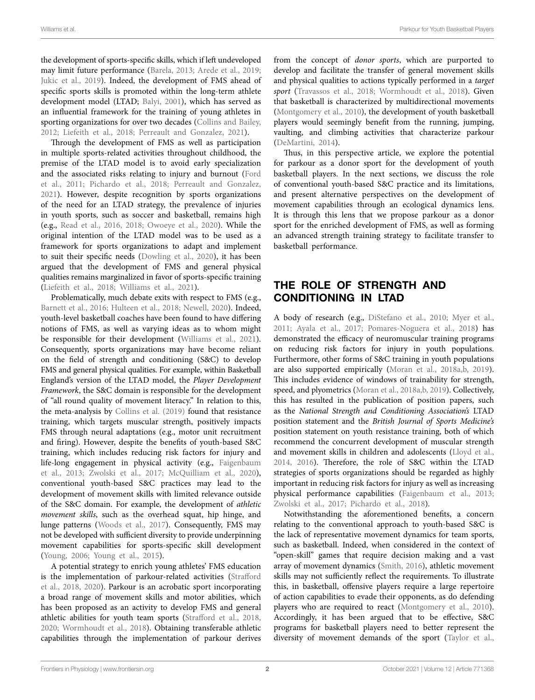the development of sports-specific skills, which if left undeveloped may limit future performance [\(Barela, 2013;](#page-5-2) [Arede et al., 2019](#page-5-3); Jukic et al., 2019). Indeed, the development of FMS ahead of specific sports skills is promoted within the long-term athlete development model (LTAD; [Balyi, 2001\)](#page-5-4), which has served as an influential framework for the training of young athletes in sporting organizations for over two decades [\(Collins and Bailey,](#page-5-5)  [2012;](#page-5-5) [Liefeith et al., 2018](#page-6-2); [Perreault and Gonzalez, 2021](#page-7-0)).

Through the development of FMS as well as participation in multiple sports-related activities throughout childhood, the premise of the LTAD model is to avoid early specialization and the associated risks relating to injury and burnout ([Ford](#page-6-5)  [et al., 2011](#page-6-5); [Pichardo et al., 2018;](#page-7-1) [Perreault and Gonzalez,](#page-7-0)  [2021\)](#page-7-0). However, despite recognition by sports organizations of the need for an LTAD strategy, the prevalence of injuries in youth sports, such as soccer and basketball, remains high (e.g., [Read et al., 2016,](#page-7-2) [2018](#page-7-3); [Owoeye et al., 2020](#page-6-6)). While the original intention of the LTAD model was to be used as a framework for sports organizations to adapt and implement to suit their specific needs [\(Dowling et al., 2020](#page-6-7)), it has been argued that the development of FMS and general physical qualities remains marginalized in favor of sports-specific training ([Liefeith et al., 2018;](#page-6-2) [Williams et al., 2021](#page-7-4)).

Problematically, much debate exits with respect to FMS (e.g., [Barnett et al., 2016](#page-5-1); [Hulteen et al., 2018;](#page-6-0) [Newell, 2020\)](#page-6-8). Indeed, youth-level basketball coaches have been found to have differing notions of FMS, as well as varying ideas as to whom might be responsible for their development (Williams et al., 2021). Consequently, sports organizations may have become reliant on the field of strength and conditioning (S&C) to develop FMS and general physical qualities. For example, within Basketball England's version of the LTAD model, the *Player Development Framework*, the S&C domain is responsible for the development of "all round quality of movement literacy." In relation to this, the meta-analysis by [Collins et al. \(2019\)](#page-5-6) found that resistance training, which targets muscular strength, positively impacts FMS through neural adaptations (e.g., motor unit recruitment and firing). However, despite the benefits of youth-based S&C training, which includes reducing risk factors for injury and life-long engagement in physical activity (e.g., [Faigenbaum](#page-6-9)  [et al., 2013;](#page-6-9) [Zwolski et al., 2017](#page-7-5); [McQuilliam et al., 2020](#page-6-10)), conventional youth-based S&C practices may lead to the development of movement skills with limited relevance outside of the S&C domain. For example, the development of *athletic movement skills*, such as the overhead squat, hip hinge, and lunge patterns ([Woods et al., 2017](#page-7-6)). Consequently, FMS may not be developed with sufficient diversity to provide underpinning movement capabilities for sports-specific skill development ([Young, 2006;](#page-7-7) [Young et al., 2015](#page-7-8)).

A potential strategy to enrich young athletes' FMS education is the implementation of parkour-related activities [\(Strafford](#page-7-9)  [et al., 2018](#page-7-9), [2020\)](#page-7-10). Parkour is an acrobatic sport incorporating a broad range of movement skills and motor abilities, which has been proposed as an activity to develop FMS and general athletic abilities for youth team sports [\(Strafford et al., 2018](#page-7-9), [2020;](#page-7-10) [Wormhoudt et al., 2018](#page-7-11)). Obtaining transferable athletic capabilities through the implementation of parkour derives from the concept of *donor sports*, which are purported to develop and facilitate the transfer of general movement skills and physical qualities to actions typically performed in a *target sport* ([Travassos et al., 2018;](#page-7-12) [Wormhoudt et al., 2018\)](#page-7-11). Given that basketball is characterized by multidirectional movements [\(Montgomery et al., 2010](#page-6-11)), the development of youth basketball players would seemingly benefit from the running, jumping, vaulting, and climbing activities that characterize parkour [\(DeMartini, 2014\)](#page-6-12).

Thus, in this perspective article, we explore the potential for parkour as a donor sport for the development of youth basketball players. In the next sections, we discuss the role of conventional youth-based S&C practice and its limitations, and present alternative perspectives on the development of movement capabilities through an ecological dynamics lens. It is through this lens that we propose parkour as a donor sport for the enriched development of FMS, as well as forming an advanced strength training strategy to facilitate transfer to basketball performance.

### THE ROLE OF STRENGTH AND CONDITIONING IN LTAD

A body of research (e.g., [DiStefano et al., 2010;](#page-6-13) [Myer et al.,](#page-6-14)  [2011;](#page-6-14) [Ayala et al., 2017](#page-5-7); [Pomares-Noguera et al., 2018](#page-7-13)) has demonstrated the efficacy of neuromuscular training programs on reducing risk factors for injury in youth populations. Furthermore, other forms of S&C training in youth populations are also supported empirically ([Moran et al., 2018a,](#page-6-15)[b,](#page-6-16) [2019](#page-6-17)). This includes evidence of windows of trainability for strength, speed, and plyometrics [\(Moran et al., 2018a,](#page-6-15)[b](#page-6-16), [2019\)](#page-6-17). Collectively, this has resulted in the publication of position papers, such as the *National Strength and Conditioning Association's* LTAD position statement and the *British Journal of Sports Medicine's* position statement on youth resistance training, both of which recommend the concurrent development of muscular strength and movement skills in children and adolescents [\(Lloyd et al.,](#page-6-18)  [2014,](#page-6-18) [2016](#page-6-19)). Therefore, the role of S&C within the LTAD strategies of sports organizations should be regarded as highly important in reducing risk factors for injury as well as increasing physical performance capabilities [\(Faigenbaum et al., 2013;](#page-6-9) Zwolski et al., 2017; Pichardo et al., 2018).

Notwithstanding the aforementioned benefits, a concern relating to the conventional approach to youth-based S&C is the lack of representative movement dynamics for team sports, such as basketball. Indeed, when considered in the context of "open-skill" games that require decision making and a vast array of movement dynamics ([Smith, 2016](#page-7-14)), athletic movement skills may not sufficiently reflect the requirements. To illustrate this, in basketball, offensive players require a large repertoire of action capabilities to evade their opponents, as do defending players who are required to react [\(Montgomery et al., 2010](#page-6-11)). Accordingly, it has been argued that to be effective, S&C programs for basketball players need to better represent the diversity of movement demands of the sport ([Taylor et al.,](#page-7-15)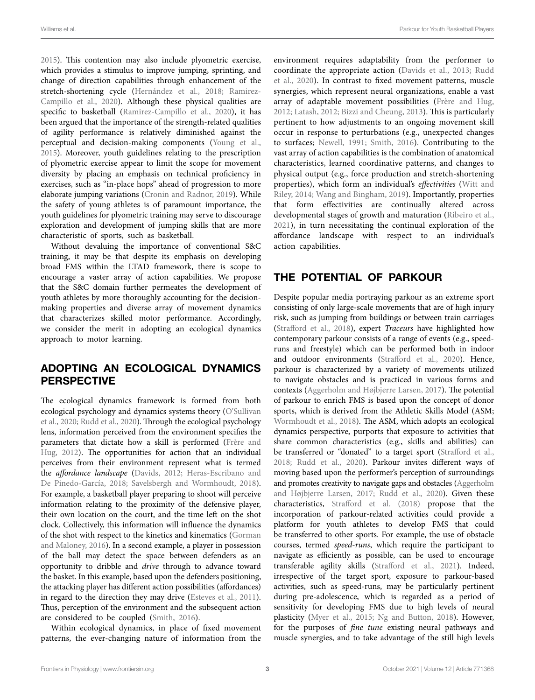[2015\)](#page-7-15). This contention may also include plyometric exercise, which provides a stimulus to improve jumping, sprinting, and change of direction capabilities through enhancement of the stretch-shortening cycle [\(Hernández et al., 2018;](#page-6-20) [Ramirez-](#page-7-16)[Campillo et al., 2020](#page-7-16)). Although these physical qualities are specific to basketball ([Ramirez-Campillo et al., 2020\)](#page-7-16), it has been argued that the importance of the strength-related qualities of agility performance is relatively diminished against the perceptual and decision-making components ([Young et al.,](#page-7-8)  [2015\)](#page-7-8). Moreover, youth guidelines relating to the prescription of plyometric exercise appear to limit the scope for movement diversity by placing an emphasis on technical proficiency in exercises, such as "in-place hops" ahead of progression to more elaborate jumping variations ([Cronin and Radnor, 2019](#page-5-8)). While the safety of young athletes is of paramount importance, the youth guidelines for plyometric training may serve to discourage exploration and development of jumping skills that are more characteristic of sports, such as basketball.

Without devaluing the importance of conventional S&C training, it may be that despite its emphasis on developing broad FMS within the LTAD framework, there is scope to encourage a vaster array of action capabilities. We propose that the S&C domain further permeates the development of youth athletes by more thoroughly accounting for the decisionmaking properties and diverse array of movement dynamics that characterizes skilled motor performance. Accordingly, we consider the merit in adopting an ecological dynamics approach to motor learning.

### ADOPTING AN ECOLOGICAL DYNAMICS PERSPECTIVE

The ecological dynamics framework is formed from both ecological psychology and dynamics systems theory [\(O'Sullivan](#page-6-21)  [et al., 2020](#page-6-21); [Rudd et al., 2020](#page-7-17)). Through the ecological psychology lens, information perceived from the environment specifies the parameters that dictate how a skill is performed ([Frère and](#page-6-22)  [Hug, 2012](#page-6-22)). The opportunities for action that an individual perceives from their environment represent what is termed the *affordance landscape* ([Davids, 2012](#page-5-9); [Heras-Escribano and](#page-6-23)  [De Pinedo-García, 2018](#page-6-23); [Savelsbergh and Wormhoudt, 2018](#page-7-18)). For example, a basketball player preparing to shoot will perceive information relating to the proximity of the defensive player, their own location on the court, and the time left on the shot clock. Collectively, this information will influence the dynamics of the shot with respect to the kinetics and kinematics [\(Gorman](#page-6-24)  [and Maloney, 2016](#page-6-24)). In a second example, a player in possession of the ball may detect the space between defenders as an opportunity to dribble and *drive* through to advance toward the basket. In this example, based upon the defenders positioning, the attacking player has different action possibilities (affordances) in regard to the direction they may drive ([Esteves et al., 2011](#page-6-25)). Thus, perception of the environment and the subsequent action are considered to be coupled ([Smith, 2016](#page-7-14)).

Within ecological dynamics, in place of fixed movement patterns, the ever-changing nature of information from the environment requires adaptability from the performer to coordinate the appropriate action ([Davids et al., 2013;](#page-6-26) [Rudd](#page-7-17)  [et al., 2020](#page-7-17)). In contrast to fixed movement patterns, muscle synergies, which represent neural organizations, enable a vast array of adaptable movement possibilities ([Frère and Hug,](#page-6-22)  [2012](#page-6-22); [Latash, 2012;](#page-6-27) [Bizzi and Cheung, 2013\)](#page-5-10). This is particularly pertinent to how adjustments to an ongoing movement skill occur in response to perturbations (e.g., unexpected changes to surfaces; [Newell, 1991](#page-6-28); [Smith, 2016\)](#page-7-14). Contributing to the vast array of action capabilities is the combination of anatomical characteristics, learned coordinative patterns, and changes to physical output (e.g., force production and stretch-shortening properties), which form an individual's *effectivities* [\(Witt and](#page-7-19)  [Riley, 2014](#page-7-19); [Wang and Bingham, 2019\)](#page-7-20). Importantly, properties that form effectivities are continually altered across developmental stages of growth and maturation [\(Ribeiro et al.,](#page-7-21)  [2021](#page-7-21)), in turn necessitating the continual exploration of the affordance landscape with respect to an individual's action capabilities.

### THE POTENTIAL OF PARKOUR

Despite popular media portraying parkour as an extreme sport consisting of only large-scale movements that are of high injury risk, such as jumping from buildings or between train carriages [\(Strafford et al., 2018](#page-7-9)), expert *Traceurs* have highlighted how contemporary parkour consists of a range of events (e.g., speedruns and freestyle) which can be performed both in indoor and outdoor environments [\(Strafford et al., 2020\)](#page-7-10). Hence, parkour is characterized by a variety of movements utilized to navigate obstacles and is practiced in various forms and contexts [\(Aggerholm and Højbjerre Larsen, 2017\)](#page-5-11). The potential of parkour to enrich FMS is based upon the concept of donor sports, which is derived from the Athletic Skills Model (ASM; [Wormhoudt et al., 2018](#page-7-11)). The ASM, which adopts an ecological dynamics perspective, purports that exposure to activities that share common characteristics (e.g., skills and abilities) can be transferred or "donated" to a target sport (Strafford et al., [2018;](#page-7-9) [Rudd et al., 2020\)](#page-7-17). Parkour invites different ways of moving based upon the performer's perception of surroundings and promotes creativity to navigate gaps and obstacles [\(Aggerholm](#page-5-11)  [and Højbjerre Larsen, 2017](#page-5-11); [Rudd et al., 2020\)](#page-7-17). Given these characteristics, [Strafford et al. \(2018\)](#page-7-9) propose that the incorporation of parkour-related activities could provide a platform for youth athletes to develop FMS that could be transferred to other sports. For example, the use of obstacle courses, termed *speed-runs*, which require the participant to navigate as efficiently as possible, can be used to encourage transferable agility skills [\(Strafford et al., 2021\)](#page-7-22). Indeed, irrespective of the target sport, exposure to parkour-based activities, such as speed-runs, may be particularly pertinent during pre-adolescence, which is regarded as a period of sensitivity for developing FMS due to high levels of neural plasticity [\(Myer et al., 2015](#page-6-29); [Ng and Button, 2018\)](#page-6-30). However, for the purposes of *fine tune* existing neural pathways and muscle synergies, and to take advantage of the still high levels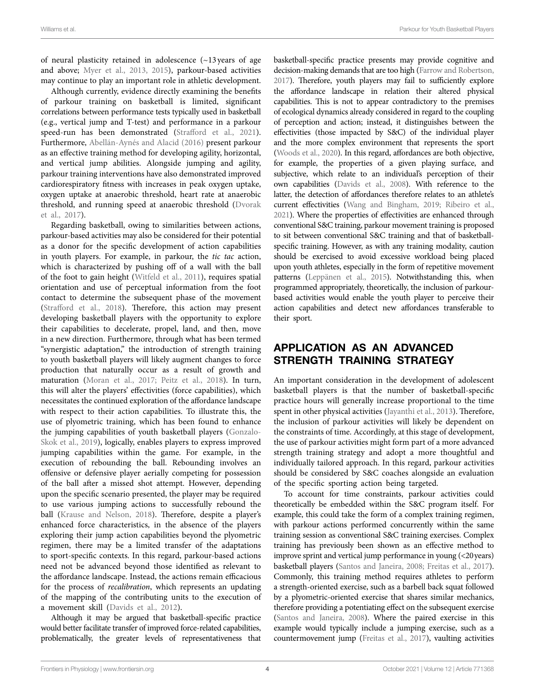of neural plasticity retained in adolescence (~13 years of age and above; [Myer et al., 2013](#page-6-31), [2015](#page-6-29)), parkour-based activities may continue to play an important role in athletic development.

Although currently, evidence directly examining the benefits of parkour training on basketball is limited, significant correlations between performance tests typically used in basketball (e.g., vertical jump and T-test) and performance in a parkour speed-run has been demonstrated ([Strafford et al., 2021](#page-7-22)). Furthermore, [Abellán-Aynés and Alacid \(2016\)](#page-5-12) present parkour as an effective training method for developing agility, horizontal, and vertical jump abilities. Alongside jumping and agility, parkour training interventions have also demonstrated improved cardiorespiratory fitness with increases in peak oxygen uptake, oxygen uptake at anaerobic threshold, heart rate at anaerobic threshold, and running speed at anaerobic threshold ([Dvorak](#page-6-32)  [et al., 2017](#page-6-32)).

Regarding basketball, owing to similarities between actions, parkour-based activities may also be considered for their potential as a donor for the specific development of action capabilities in youth players. For example, in parkour, the *tic tac* action, which is characterized by pushing off of a wall with the ball of the foot to gain height ([Witfeld et al., 2011\)](#page-7-23), requires spatial orientation and use of perceptual information from the foot contact to determine the subsequent phase of the movement ([Strafford et al., 2018\)](#page-7-9). Therefore, this action may present developing basketball players with the opportunity to explore their capabilities to decelerate, propel, land, and then, move in a new direction. Furthermore, through what has been termed "synergistic adaptation," the introduction of strength training to youth basketball players will likely augment changes to force production that naturally occur as a result of growth and maturation [\(Moran et al., 2017](#page-6-33); [Peitz et al., 2018](#page-7-24)). In turn, this will alter the players' effectivities (force capabilities), which necessitates the continued exploration of the affordance landscape with respect to their action capabilities. To illustrate this, the use of plyometric training, which has been found to enhance the jumping capabilities of youth basketball players ([Gonzalo-](#page-6-34)[Skok et al., 2019](#page-6-34)), logically, enables players to express improved jumping capabilities within the game. For example, in the execution of rebounding the ball. Rebounding involves an offensive or defensive player aerially competing for possession of the ball after a missed shot attempt. However, depending upon the specific scenario presented, the player may be required to use various jumping actions to successfully rebound the ball [\(Krause and Nelson, 2018](#page-6-35)). Therefore, despite a player's enhanced force characteristics, in the absence of the players exploring their jump action capabilities beyond the plyometric regimen, there may be a limited transfer of the adaptations to sport-specific contexts. In this regard, parkour-based actions need not be advanced beyond those identified as relevant to the affordance landscape. Instead, the actions remain efficacious for the process of *recalibration*, which represents an updating of the mapping of the contributing units to the execution of a movement skill ([Davids et al., 2012](#page-5-13)).

Although it may be argued that basketball-specific practice would better facilitate transfer of improved force-related capabilities, problematically, the greater levels of representativeness that

basketball-specific practice presents may provide cognitive and decision-making demands that are too high ([Farrow and Robertson,](#page-6-36)  [2017](#page-6-36)). Therefore, youth players may fail to sufficiently explore the affordance landscape in relation their altered physical capabilities. This is not to appear contradictory to the premises of ecological dynamics already considered in regard to the coupling of perception and action; instead, it distinguishes between the effectivities (those impacted by S&C) of the individual player and the more complex environment that represents the sport [\(Woods et al., 2020\)](#page-7-25). In this regard, affordances are both objective, for example, the properties of a given playing surface, and subjective, which relate to an individual's perception of their own capabilities [\(Davids et al., 2008\)](#page-6-37). With reference to the latter, the detection of affordances therefore relates to an athlete's current effectivities ([Wang and Bingham, 2019;](#page-7-20) [Ribeiro et al.,](#page-7-21)  [2021](#page-7-21)). Where the properties of effectivities are enhanced through conventional S&C training, parkour movement training is proposed to sit between conventional S&C training and that of basketballspecific training. However, as with any training modality, caution should be exercised to avoid excessive workload being placed upon youth athletes, especially in the form of repetitive movement patterns [\(Leppänen et al., 2015](#page-6-38)). Notwithstanding this, when programmed appropriately, theoretically, the inclusion of parkourbased activities would enable the youth player to perceive their action capabilities and detect new affordances transferable to their sport.

### APPLICATION AS AN ADVANCED STRENGTH TRAINING STRATEGY

An important consideration in the development of adolescent basketball players is that the number of basketball-specific practice hours will generally increase proportional to the time spent in other physical activities ([Jayanthi et al., 2013\)](#page-6-39). Therefore, the inclusion of parkour activities will likely be dependent on the constraints of time. Accordingly, at this stage of development, the use of parkour activities might form part of a more advanced strength training strategy and adopt a more thoughtful and individually tailored approach. In this regard, parkour activities should be considered by S&C coaches alongside an evaluation of the specific sporting action being targeted.

To account for time constraints, parkour activities could theoretically be embedded within the S&C program itself. For example, this could take the form of a complex training regimen, with parkour actions performed concurrently within the same training session as conventional S&C training exercises. Complex training has previously been shown as an effective method to improve sprint and vertical jump performance in young (<20years) basketball players [\(Santos and Janeira, 2008](#page-7-26); [Freitas et al., 2017\)](#page-6-40). Commonly, this training method requires athletes to perform a strength-oriented exercise, such as a barbell back squat followed by a plyometric-oriented exercise that shares similar mechanics, therefore providing a potentiating effect on the subsequent exercise [\(Santos and Janeira, 2008\)](#page-7-26). Where the paired exercise in this example would typically include a jumping exercise, such as a countermovement jump [\(Freitas et al., 2017](#page-6-40)), vaulting activities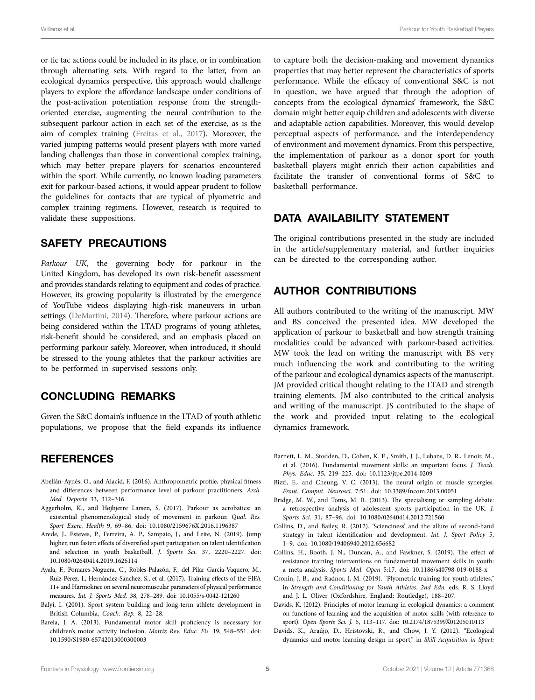or tic tac actions could be included in its place, or in combination through alternating sets. With regard to the latter, from an ecological dynamics perspective, this approach would challenge players to explore the affordance landscape under conditions of the post-activation potentiation response from the strengthoriented exercise, augmenting the neural contribution to the subsequent parkour action in each set of the exercise, as is the aim of complex training [\(Freitas et al., 2017\)](#page-6-40). Moreover, the varied jumping patterns would present players with more varied landing challenges than those in conventional complex training, which may better prepare players for scenarios encountered within the sport. While currently, no known loading parameters exit for parkour-based actions, it would appear prudent to follow the guidelines for contacts that are typical of plyometric and complex training regimens. However, research is required to validate these suppositions.

#### SAFETY PRECAUTIONS

*Parkour UK*, the governing body for parkour in the United Kingdom, has developed its own risk-benefit assessment and provides standards relating to equipment and codes of practice. However, its growing popularity is illustrated by the emergence of YouTube videos displaying high-risk maneuvers in urban settings ([DeMartini, 2014\)](#page-6-12). Therefore, where parkour actions are being considered within the LTAD programs of young athletes, risk-benefit should be considered, and an emphasis placed on performing parkour safely. Moreover, when introduced, it should be stressed to the young athletes that the parkour activities are to be performed in supervised sessions only.

#### CONCLUDING REMARKS

Given the S&C domain's influence in the LTAD of youth athletic populations, we propose that the field expands its influence

#### **REFERENCES**

- <span id="page-5-12"></span>Abellán-Aynés, O., and Alacid, F. (2016). Anthropometric profile, physical fitness and differences between performance level of parkour practitioners. *Arch. Med. Deporte* 33, 312–316.
- <span id="page-5-11"></span>Aggerholm, K., and Højbjerre Larsen, S. (2017). Parkour as acrobatics: an existential phenomenological study of movement in parkour. *Qual. Res. Sport Exerc. Health* 9, 69–86. doi: [10.1080/2159676X.2016.1196387](https://doi.org/10.1080/2159676X.2016.1196387)
- <span id="page-5-3"></span>Arede, J., Esteves, P., Ferreira, A. P., Sampaio, J., and Leite, N. (2019). Jump higher, run faster: effects of diversified sport participation on talent identification and selection in youth basketball. *J. Sports Sci.* 37, 2220–2227. doi: [10.1080/02640414.2019.1626114](https://doi.org/10.1080/02640414.2019.1626114)
- <span id="page-5-7"></span>Ayala, F., Pomares-Noguera, C., Robles-Palazón, F., del Pilar García-Vaquero, M., Ruiz-Pérez, I., Hernández-Sánchez, S., et al. (2017). Training effects of the FIFA 11+ and Harmoknee on several neuromuscular parameters of physical performance measures. *Int. J. Sports Med.* 38, 278–289. doi: [10.1055/s-0042-121260](https://doi.org/10.1055/s-0042-121260)
- <span id="page-5-4"></span>Balyi, I. (2001). Sport system building and long-term athlete development in British Columbia. *Coach. Rep.* 8, 22–28.
- <span id="page-5-2"></span>Barela, J. A. (2013). Fundamental motor skill proficiency is necessary for children's motor activity inclusion. *Motriz Rev. Educ. Fis.* 19, 548–551. doi: [10.1590/S1980-65742013000300003](https://doi.org/10.1590/S1980-65742013000300003)

to capture both the decision-making and movement dynamics properties that may better represent the characteristics of sports performance. While the efficacy of conventional S&C is not in question, we have argued that through the adoption of concepts from the ecological dynamics' framework, the S&C domain might better equip children and adolescents with diverse and adaptable action capabilities. Moreover, this would develop perceptual aspects of performance, and the interdependency of environment and movement dynamics. From this perspective, the implementation of parkour as a donor sport for youth basketball players might enrich their action capabilities and facilitate the transfer of conventional forms of S&C to basketball performance.

#### DATA AVAILABILITY STATEMENT

The original contributions presented in the study are included in the article/supplementary material, and further inquiries can be directed to the corresponding author.

#### AUTHOR CONTRIBUTIONS

All authors contributed to the writing of the manuscript. MW and BS conceived the presented idea. MW developed the application of parkour to basketball and how strength training modalities could be advanced with parkour-based activities. MW took the lead on writing the manuscript with BS very much influencing the work and contributing to the writing of the parkour and ecological dynamics aspects of the manuscript. JM provided critical thought relating to the LTAD and strength training elements. JM also contributed to the critical analysis and writing of the manuscript. JS contributed to the shape of the work and provided input relating to the ecological dynamics framework.

- <span id="page-5-1"></span>Barnett, L. M., Stodden, D., Cohen, K. E., Smith, J. J., Lubans, D. R., Lenoir, M., et al. (2016). Fundamental movement skills: an important focus. *J. Teach. Phys. Educ.* 35, 219–225. doi: [10.1123/jtpe.2014-0209](https://doi.org/10.1123/jtpe.2014-0209)
- <span id="page-5-10"></span>Bizzi, E., and Cheung, V. C. (2013). The neural origin of muscle synergies. *Front. Comput. Neurosci.* 7:51. doi: [10.3389/fncom.2013.00051](https://doi.org/10.3389/fncom.2013.00051)
- <span id="page-5-0"></span>Bridge, M. W., and Toms, M. R. (2013). The specialising or sampling debate: a retrospective analysis of adolescent sports participation in the UK. *J. Sports Sci.* 31, 87–96. doi: [10.1080/02640414.2012.721560](https://doi.org/10.1080/02640414.2012.721560)
- <span id="page-5-5"></span>Collins, D., and Bailey, R. (2012). 'Scienciness' and the allure of second-hand strategy in talent identification and development. *Int. J. Sport Policy* 5, 1–9. doi: [10.1080/19406940.2012.656682](https://doi.org/10.1080/19406940.2012.656682)
- <span id="page-5-6"></span>Collins, H., Booth, J. N., Duncan, A., and Fawkner, S. (2019). The effect of resistance training interventions on fundamental movement skills in youth: a meta-analysis. *Sports Med. Open* 5:17. doi: [10.1186/s40798-019-0188-x](https://doi.org/10.1186/s40798-019-0188-x)
- <span id="page-5-8"></span>Cronin, J. B., and Radnor, J. M. (2019). "Plyometric training for youth athletes," in *Strength and Conditioning for Youth Athletes*. *2nd Edn.* eds. R. S. Lloyd and J. L. Oliver (Oxfordshire, England: Routledge), 188–207.
- <span id="page-5-9"></span>Davids, K. (2012). Principles of motor learning in ecological dynamics: a comment on functions of learning and the acquisition of motor skills (with reference to sport). *Open Sports Sci. J.* 5, 113–117. doi: [10.2174/1875399X01205010113](https://doi.org/10.2174/1875399X01205010113)
- <span id="page-5-13"></span>Davids, K., Araújo, D., Hristovski, R., and Chow, J. Y. (2012). "Ecological dynamics and motor learning design in sport," in *Skill Acquisition in Sport:*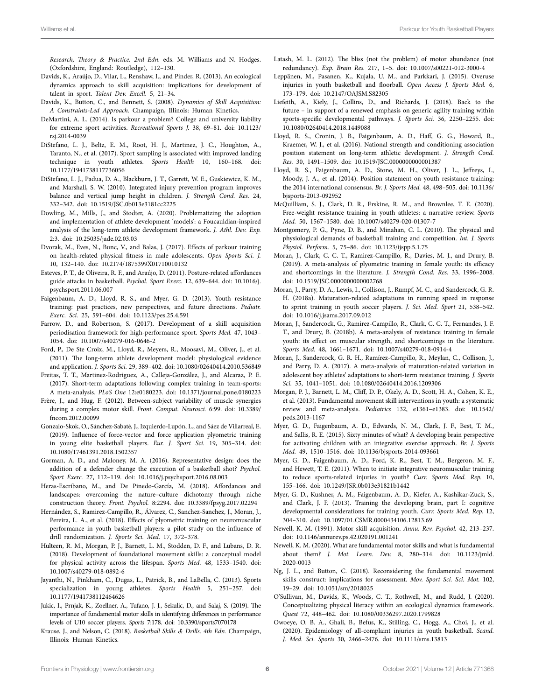*Research, Theory & Practice. 2nd Edn.* eds. M. Williams and N. Hodges. (Oxfordshire, England: Routledge), 112–130.

- <span id="page-6-26"></span>Davids, K., Araújo, D., Vilar, L., Renshaw, I., and Pinder, R. (2013). An ecological dynamics approach to skill acquisition: implications for development of talent in sport. *Talent Dev. Excell.* 5, 21–34.
- <span id="page-6-37"></span>Davids, K., Button, C., and Bennett, S. (2008). *Dynamics of Skill Acquisition: A Constraints-Led Approach.* Champaign, Illinois: Human Kinetics.
- <span id="page-6-12"></span>DeMartini, A. L. (2014). Is parkour a problem? College and university liability for extreme sport activities. *Recreational Sports J.* 38, 69–81. doi: [10.1123/](https://doi.org/10.1123/rsj.2014-0039) [rsj.2014-0039](https://doi.org/10.1123/rsj.2014-0039)
- <span id="page-6-1"></span>DiStefano, L. J., Beltz, E. M., Root, H. J., Martinez, J. C., Houghton, A., Taranto, N., et al. (2017). Sport sampling is associated with improved landing technique in youth athletes. *Sports Health* 10, 160–168. doi: [10.1177/1941738117736056](https://doi.org/10.1177/1941738117736056)
- <span id="page-6-13"></span>DiStefano, L. J., Padua, D. A., Blackburn, J. T., Garrett, W. E., Guskiewicz, K. M., and Marshall, S. W. (2010). Integrated injury prevention program improves balance and vertical jump height in children. *J. Strength Cond. Res.* 24, 332–342. doi: [10.1519/JSC.0b013e3181cc2225](https://doi.org/10.1519/JSC.0b013e3181cc2225)
- <span id="page-6-7"></span>Dowling, M., Mills, J., and Stodter, A. (2020). Problematizing the adoption and implementation of athlete development 'models': a Foucauldian-inspired analysis of the long-term athlete development framework. *J. Athl. Dev. Exp.* 2:3. doi: [10.25035/jade.02.03.03](https://doi.org/10.25035/jade.02.03.03)
- <span id="page-6-32"></span>Dvorak, M., Eves, N., Bunc, V., and Balas, J. (2017). Effects of parkour training on health-related physical fitness in male adolescents. *Open Sports Sci. J.* 10, 132–140. doi: [10.2174/1875399X01710010132](https://doi.org/10.2174/1875399X01710010132)
- <span id="page-6-25"></span>Esteves, P. T., de Oliveira, R. F., and Araújo, D. (2011). Posture-related affordances guide attacks in basketball. *Psychol. Sport Exerc.* 12, 639–644. doi: [10.1016/j.](https://doi.org/10.1016/j.psychsport.2011.06.007) [psychsport.2011.06.007](https://doi.org/10.1016/j.psychsport.2011.06.007)
- <span id="page-6-9"></span>Faigenbaum, A. D., Lloyd, R. S., and Myer, G. D. (2013). Youth resistance training: past practices, new perspectives, and future directions. *Pediatr. Exerc. Sci.* 25, 591–604. doi: [10.1123/pes.25.4.591](https://doi.org/10.1123/pes.25.4.591)
- <span id="page-6-36"></span>Farrow, D., and Robertson, S. (2017). Development of a skill acquisition periodisation framework for high-performance sport. *Sports Med.* 47, 1043– 1054. doi: [10.1007/s40279-016-0646-2](https://doi.org/10.1007/s40279-016-0646-2)
- <span id="page-6-5"></span>Ford, P., De Ste Croix, M., Lloyd, R., Meyers, R., Moosavi, M., Oliver, J., et al. (2011). The long-term athlete development model: physiological evidence and application. *J. Sports Sci.* 29, 389–402. doi: [10.1080/02640414.2010.536849](https://doi.org/10.1080/02640414.2010.536849)
- <span id="page-6-40"></span>Freitas, T. T., Martinez-Rodriguez, A., Calleja-González, J., and Alcaraz, P. E. (2017). Short-term adaptations following complex training in team-sports: A meta-analysis. *PLoS One* 12:e0180223. doi: [10.1371/journal.pone.0180223](https://doi.org/10.1371/journal.pone.0180223)
- <span id="page-6-22"></span>Frère, J., and Hug, F. (2012). Between-subject variability of muscle synergies during a complex motor skill. *Front. Comput. Neurosci.* 6:99. doi: [10.3389/](https://doi.org/10.3389/fncom.2012.00099) [fncom.2012.00099](https://doi.org/10.3389/fncom.2012.00099)
- <span id="page-6-34"></span>Gonzalo-Skok, O., Sánchez-Sabaté, J., Izquierdo-Lupón, L., and Sáez de Villarreal, E. (2019). Influence of force-vector and force application plyometric training in young elite basketball players. *Eur. J. Sport Sci.* 19, 305–314. doi: [10.1080/17461391.2018.1502357](https://doi.org/10.1080/17461391.2018.1502357)
- <span id="page-6-24"></span>Gorman, A. D., and Maloney, M. A. (2016). Representative design: does the addition of a defender change the execution of a basketball shot? *Psychol. Sport Exerc.* 27, 112–119. doi: [10.1016/j.psychsport.2016.08.003](https://doi.org/10.1016/j.psychsport.2016.08.003)
- <span id="page-6-23"></span>Heras-Escribano, M., and De Pinedo-García, M. (2018). Affordances and landscapes: overcoming the nature–culture dichotomy through niche construction theory. *Front. Psychol.* 8:2294. doi: [10.3389/fpsyg.2017.02294](https://doi.org/10.3389/fpsyg.2017.02294)
- <span id="page-6-20"></span>Hernández, S., Ramirez-Campillo, R., Álvarez, C., Sanchez-Sanchez, J., Moran, J., Pereira, L. A., et al. (2018). Effects of plyometric training on neuromuscular performance in youth basketball players: a pilot study on the influence of drill randomization. *J. Sports Sci. Med.* 17, 372–378.
- <span id="page-6-0"></span>Hulteen, R. M., Morgan, P. J., Barnett, L. M., Stodden, D. F., and Lubans, D. R. (2018). Development of foundational movement skills: a conceptual model for physical activity across the lifespan. *Sports Med.* 48, 1533–1540. doi: [10.1007/s40279-018-0892-6](https://doi.org/10.1007/s40279-018-0892-6)
- <span id="page-6-39"></span>Jayanthi, N., Pinkham, C., Dugas, L., Patrick, B., and LaBella, C. (2013). Sports specialization in young athletes. *Sports Health* 5, 251–257. doi: [10.1177/1941738112464626](https://doi.org/10.1177/1941738112464626)
- <span id="page-6-4"></span>Jukic, I., Prnjak, K., Zoellner, A., Tufano, J. J., Sekulic, D., and Salaj, S. (2019). The importance of fundamental motor skills in identifying differences in performance levels of U10 soccer players. *Sports* 7:178. doi: [10.3390/sports7070178](https://doi.org/10.3390/sports7070178)
- <span id="page-6-35"></span>Krause, J., and Nelson, C. (2018). *Basketball Skills & Drills*. *4th Edn.* Champaign, Illinois: Human Kinetics.
- <span id="page-6-27"></span>Latash, M. L. (2012). The bliss (not the problem) of motor abundance (not redundancy). *Exp. Brain Res.* 217, 1–5. doi: [10.1007/s00221-012-3000-4](https://doi.org/10.1007/s00221-012-3000-4)
- <span id="page-6-38"></span>Leppänen, M., Pasanen, K., Kujala, U. M., and Parkkari, J. (2015). Overuse injuries in youth basketball and floorball. *Open Access J. Sports Med.* 6, 173–179. doi: [10.2147/OAJSM.S82305](https://doi.org/10.2147/OAJSM.S82305)
- <span id="page-6-2"></span>Liefeith, A., Kiely, J., Collins, D., and Richards, J. (2018). Back to the future – in support of a renewed emphasis on generic agility training within sports-specific developmental pathways. *J. Sports Sci.* 36, 2250–2255. doi: [10.1080/02640414.2018.1449088](https://doi.org/10.1080/02640414.2018.1449088)
- <span id="page-6-19"></span>Lloyd, R. S., Cronin, J. B., Faigenbaum, A. D., Haff, G. G., Howard, R., Kraemer, W. J., et al. (2016). National strength and conditioning association position statement on long-term athletic development. *J. Strength Cond. Res.* 30, 1491–1509. doi: [10.1519/JSC.0000000000001387](https://doi.org/10.1519/JSC.0000000000001387)
- <span id="page-6-18"></span>Lloyd, R. S., Faigenbaum, A. D., Stone, M. H., Oliver, J. L., Jeffreys, I., Moody, J. A., et al. (2014). Position statement on youth resistance training: the 2014 international consensus. *Br. J. Sports Med.* 48, 498–505. doi: [10.1136/](https://doi.org/10.1136/bjsports-2013-092952) [bjsports-2013-092952](https://doi.org/10.1136/bjsports-2013-092952)
- <span id="page-6-10"></span>McQuilliam, S. J., Clark, D. R., Erskine, R. M., and Brownlee, T. E. (2020). Free-weight resistance training in youth athletes: a narrative review. *Sports Med.* 50, 1567–1580. doi: [10.1007/s40279-020-01307-7](https://doi.org/10.1007/s40279-020-01307-7)
- <span id="page-6-11"></span>Montgomery, P. G., Pyne, D. B., and Minahan, C. L. (2010). The physical and physiological demands of basketball training and competition. *Int. J. Sports Physiol. Perform.* 5, 75–86. doi: [10.1123/ijspp.5.1.75](https://doi.org/10.1123/ijspp.5.1.75)
- <span id="page-6-17"></span>Moran, J., Clark, C. C. T., Ramirez-Campillo, R., Davies, M. J., and Drury, B. (2019). A meta-analysis of plyometric training in female youth: its efficacy and shortcomings in the literature. *J. Strength Cond. Res.* 33, 1996–2008. doi: [10.1519/JSC.0000000000002768](https://doi.org/10.1519/JSC.0000000000002768)
- <span id="page-6-15"></span>Moran, J., Parry, D. A., Lewis, I., Collison, J., Rumpf, M. C., and Sandercock, G. R. H. (2018a). Maturation-related adaptations in running speed in response to sprint training in youth soccer players. *J. Sci. Med. Sport* 21, 538–542. doi: [10.1016/j.jsams.2017.09.012](https://doi.org/10.1016/j.jsams.2017.09.012)
- <span id="page-6-16"></span>Moran, J., Sandercock, G., Ramirez-Campillo, R., Clark, C. C. T., Fernandes, J. F. T., and Drury, B. (2018b). A meta-analysis of resistance training in female youth: its effect on muscular strength, and shortcomings in the literature. *Sports Med.* 48, 1661–1671. doi: [10.1007/s40279-018-0914-4](https://doi.org/10.1007/s40279-018-0914-4)
- <span id="page-6-33"></span>Moran, J., Sandercock, G. R. H., Ramírez-Campillo, R., Meylan, C., Collison, J., and Parry, D. A. (2017). A meta-analysis of maturation-related variation in adolescent boy athletes' adaptations to short-term resistance training. *J. Sports Sci.* 35, 1041–1051. doi: [10.1080/02640414.2016.1209306](https://doi.org/10.1080/02640414.2016.1209306)
- <span id="page-6-3"></span>Morgan, P. J., Barnett, L. M., Cliff, D. P., Okely, A. D., Scott, H. A., Cohen, K. E., et al. (2013). Fundamental movement skill interventions in youth: a systematic review and meta-analysis. *Pediatrics* 132, e1361–e1383. doi: [10.1542/](https://doi.org/10.1542/peds.2013-1167) [peds.2013-1167](https://doi.org/10.1542/peds.2013-1167)
- <span id="page-6-29"></span>Myer, G. D., Faigenbaum, A. D., Edwards, N. M., Clark, J. F., Best, T. M., and Sallis, R. E. (2015). Sixty minutes of what? A developing brain perspective for activating children with an integrative exercise approach. *Br. J. Sports Med.* 49, 1510–1516. doi: [10.1136/bjsports-2014-093661](https://doi.org/10.1136/bjsports-2014-093661)
- <span id="page-6-14"></span>Myer, G. D., Faigenbaum, A. D., Ford, K. R., Best, T. M., Bergeron, M. F., and Hewett, T. E. (2011). When to initiate integrative neuromuscular training to reduce sports-related injuries in youth? *Curr. Sports Med. Rep.* 10, 155–166. doi: [10.1249/JSR.0b013e31821b1442](https://doi.org/10.1249/JSR.0b013e31821b1442)
- <span id="page-6-31"></span>Myer, G. D., Kushner, A. M., Faigenbaum, A. D., Kiefer, A., Kashikar-Zuck, S., and Clark, J. F. (2013). Training the developing brain, part I: cognitive developmental considerations for training youth. *Curr. Sports Med. Rep.* 12, 304–310. doi: [10.1097/01.CSMR.0000434106.12813.69](https://doi.org/10.1097/01.CSMR.0000434106.12813.69)
- <span id="page-6-28"></span>Newell, K. M. (1991). Motor skill acquisition. *Annu. Rev. Psychol.* 42, 213–237. doi: [10.1146/annurev.ps.42.020191.001241](https://doi.org/10.1146/annurev.ps.42.020191.001241)
- <span id="page-6-8"></span>Newell, K. M. (2020). What are fundamental motor skills and what is fundamental about them? *J. Mot. Learn. Dev.* 8, 280–314. doi: [10.1123/jmld.](https://doi.org/10.1123/jmld.2020-0013) [2020-0013](https://doi.org/10.1123/jmld.2020-0013)
- <span id="page-6-30"></span>Ng, J. L., and Button, C. (2018). Reconsidering the fundamental movement skills construct: implications for assessment. *Mov. Sport Sci. Sci. Mot.* 102, 19–29. doi: [10.1051/sm/2018025](https://doi.org/10.1051/sm/2018025)
- <span id="page-6-21"></span>O'Sullivan, M., Davids, K., Woods, C. T., Rothwell, M., and Rudd, J. (2020). Conceptualizing physical literacy within an ecological dynamics framework. *Quest* 72, 448–462. doi: [10.1080/00336297.2020.1799828](https://doi.org/10.1080/00336297.2020.1799828)
- <span id="page-6-6"></span>Owoeye, O. B. A., Ghali, B., Befus, K., Stilling, C., Hogg, A., Choi, J., et al. (2020). Epidemiology of all-complaint injuries in youth basketball. *Scand. J. Med. Sci. Sports* 30, 2466–2476. doi: [10.1111/sms.13813](https://doi.org/10.1111/sms.13813)